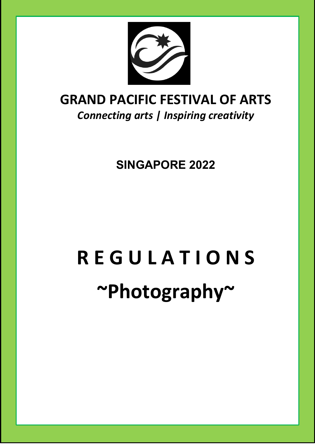

### **GRAND PACIFIC FESTIVAL OF ARTS** *Connecting arts | Inspiring creativity*

**SINGAPORE 2022**

# **R E G U L A T I O N S ~Photography~**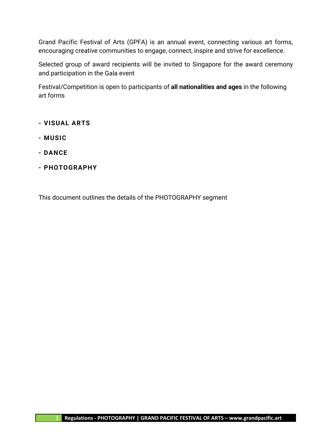Grand Pacific Festival of Arts (GPFA) is an annual event, connecting various art forms, encouraging creative communities to engage, connect, inspire and strive for excellence.

Selected group of award recipients will be invited to Singapore for the award ceremony and participation in the Gala event

Festival/Competition is open to participants of **all nationalities and ages** in the following art forms

- **- VISUAL ARTS**
- **- MUSIC**
- **- DANCE**
- **- PHOTOGRAPHY**

This document outlines the details of the PHOTOGRAPHY segment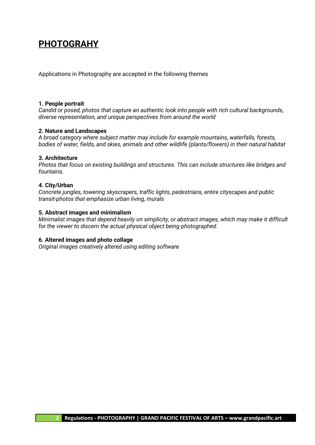### **PHOTOGRAHY**

Applications in Photography are accepted in the following themes

#### **1. People portrait**

*Candid or posed, photos that capture an authentic look into people with rich cultural backgrounds, diverse representation, and unique perspectives from around the world*

#### **2. Nature and Landscapes**

*A broad category where subject matter may include for example mountains, waterfalls, forests, bodies of water, fields, and skies, animals and other wildlife (plants/flowers) in their natural habitat*

#### **3. Architecture**

*Photos that focus on existing buildings and structures. This can include structures like bridges and fountains.*

#### **4. City/Urban**

*Concrete jungles, towering skyscrapers, traffic lights, pedestrians, entire cityscapes and public transit-photos that emphasize urban living, murals*

#### **5. Abstract images and minimalism**

*Minimalist images that depend heavily on simplicity, or abstract images, which may make it difficult for the viewer to discern the actual physical object being photographed.*

#### **6. Altered images and photo collage**

*Original images creatively altered using editing software*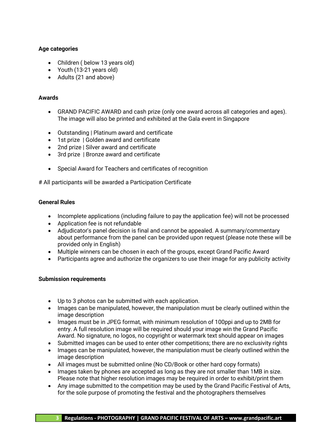#### **Age categories**

- Children (below 13 years old)
- Youth (13-21 years old)
- Adults (21 and above)

#### **Awards**

- GRAND PACIFIC AWARD and cash prize (only one award across all categories and ages). The image will also be printed and exhibited at the Gala event in Singapore
- Outstanding | Platinum award and certificate
- 1st prize | Golden award and certificate
- 2nd prize | Silver award and certificate
- 3rd prize | Bronze award and certificate
- Special Award for Teachers and certificates of recognition

# All participants will be awarded a Participation Certificate

#### **General Rules**

- Incomplete applications (including failure to pay the application fee) will not be processed
- Application fee is not refundable
- Adjudicator's panel decision is final and cannot be appealed. A summary/commentary about performance from the panel can be provided upon request (please note these will be provided only in English)
- Multiple winners can be chosen in each of the groups, except Grand Pacific Award
- Participants agree and authorize the organizers to use their image for any publicity activity

#### **Submission requirements**

- Up to 3 photos can be submitted with each application.
- Images can be manipulated, however, the manipulation must be clearly outlined within the image description
- Images must be in JPEG format, with minimum resolution of 100ppi and up to 2MB for entry. A full resolution image will be required should your image win the Grand Pacific Award. No signature, no logos, no copyright or watermark text should appear on images
- Submitted images can be used to enter other competitions; there are no exclusivity rights
- Images can be manipulated, however, the manipulation must be clearly outlined within the image description
- All images must be submitted online (No CD/Book or other hard copy formats)
- Images taken by phones are accepted as long as they are not smaller than 1MB in size. Please note that higher resolution images may be required in order to exhibit/print them
- Any image submitted to the competition may be used by the Grand Pacific Festival of Arts, for the sole purpose of promoting the festival and the photographers themselves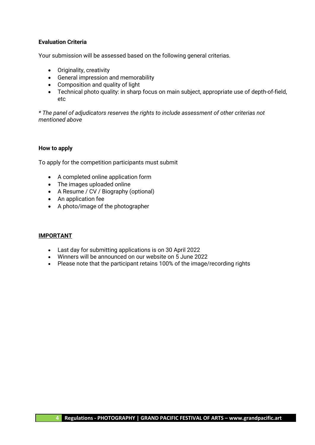#### **Evaluation Criteria**

Your submission will be assessed based on the following general criterias.

- Originality, creativity
- General impression and memorability
- Composition and quality of light
- Technical photo quality: in sharp focus on main subject, appropriate use of depth-of-field, etc

*\* The panel of adjudicators reserves the rights to include assessment of other criterias not mentioned above*

#### **How to apply**

To apply for the competition participants must submit

- A completed online application form
- The images uploaded online
- A Resume / CV / Biography (optional)
- An application fee
- A photo/image of the photographer

#### **IMPORTANT**

- Last day for submitting applications is on 30 April 2022
- Winners will be announced on our website on 5 June 2022
- Please note that the participant retains 100% of the image/recording rights